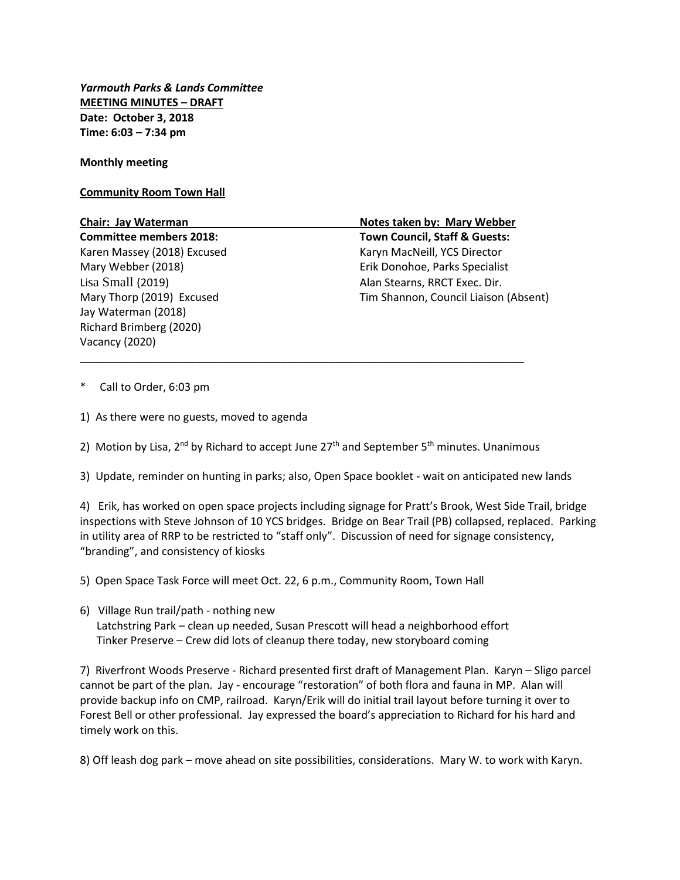*Yarmouth Parks & Lands Committee* **MEETING MINUTES – DRAFT Date: October 3, 2018 Time: 6:03 – 7:34 pm**

**Monthly meeting**

## **Community Room Town Hall**

Lisa Small (2019) Alan Stearns, RRCT Exec. Dir. Jay Waterman (2018) Richard Brimberg (2020) Vacancy (2020)

**Chair: Jay Waterman Notes taken by: Mary Webber Committee members 2018: Town Council, Staff & Guests:** Karen Massey (2018) Excused Karyn MacNeill, YCS Director Mary Webber (2018) Erik Donohoe, Parks Specialist Mary Thorp (2019) Excused Tim Shannon, Council Liaison (Absent)

- Call to Order, 6:03 pm
- 1) As there were no guests, moved to agenda
- 2) Motion by Lisa,  $2^{nd}$  by Richard to accept June  $27<sup>th</sup>$  and September 5<sup>th</sup> minutes. Unanimous

\_\_\_\_\_\_\_\_\_\_\_\_\_\_\_\_\_\_\_\_\_\_\_\_\_\_\_\_\_\_\_\_\_\_\_\_\_\_\_\_\_\_\_\_\_\_\_\_\_\_\_\_\_\_\_\_\_\_\_\_\_\_\_\_\_\_\_\_\_\_\_\_\_

3) Update, reminder on hunting in parks; also, Open Space booklet - wait on anticipated new lands

4) Erik, has worked on open space projects including signage for Pratt's Brook, West Side Trail, bridge inspections with Steve Johnson of 10 YCS bridges. Bridge on Bear Trail (PB) collapsed, replaced. Parking in utility area of RRP to be restricted to "staff only". Discussion of need for signage consistency, "branding", and consistency of kiosks

5) Open Space Task Force will meet Oct. 22, 6 p.m., Community Room, Town Hall

6) Village Run trail/path - nothing new Latchstring Park – clean up needed, Susan Prescott will head a neighborhood effort Tinker Preserve – Crew did lots of cleanup there today, new storyboard coming

7) Riverfront Woods Preserve - Richard presented first draft of Management Plan. Karyn – Sligo parcel cannot be part of the plan. Jay - encourage "restoration" of both flora and fauna in MP. Alan will provide backup info on CMP, railroad. Karyn/Erik will do initial trail layout before turning it over to Forest Bell or other professional. Jay expressed the board's appreciation to Richard for his hard and timely work on this.

8) Off leash dog park – move ahead on site possibilities, considerations. Mary W. to work with Karyn.